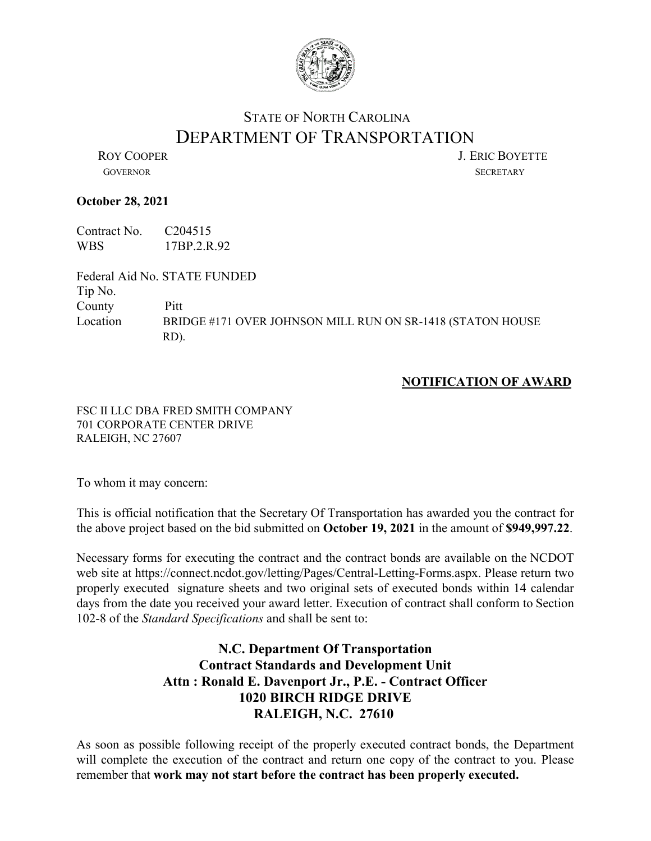

## STATE OF NORTH CAROLINA DEPARTMENT OF TRANSPORTATION<br>LERIC BOYETTE

GOVERNOR SECRETARY

## **October 28, 2021**

Contract No. C204515 WBS 17BP.2.R.92

Federal Aid No. STATE FUNDED Tip No. County Pitt Location BRIDGE #171 OVER JOHNSON MILL RUN ON SR-1418 (STATON HOUSE RD).

## **NOTIFICATION OF AWARD**

FSC II LLC DBA FRED SMITH COMPANY 701 CORPORATE CENTER DRIVE RALEIGH, NC 27607

To whom it may concern:

This is official notification that the Secretary Of Transportation has awarded you the contract for the above project based on the bid submitted on **October 19, 2021** in the amount of **\$949,997.22**.

Necessary forms for executing the contract and the contract bonds are available on the NCDOT web site at https://connect.ncdot.gov/letting/Pages/Central-Letting-Forms.aspx. Please return two properly executed signature sheets and two original sets of executed bonds within 14 calendar days from the date you received your award letter. Execution of contract shall conform to Section 102-8 of the *Standard Specifications* and shall be sent to:

> **N.C. Department Of Transportation Contract Standards and Development Unit Attn : Ronald E. Davenport Jr., P.E. - Contract Officer 1020 BIRCH RIDGE DRIVE RALEIGH, N.C. 27610**

As soon as possible following receipt of the properly executed contract bonds, the Department will complete the execution of the contract and return one copy of the contract to you. Please remember that **work may not start before the contract has been properly executed.**